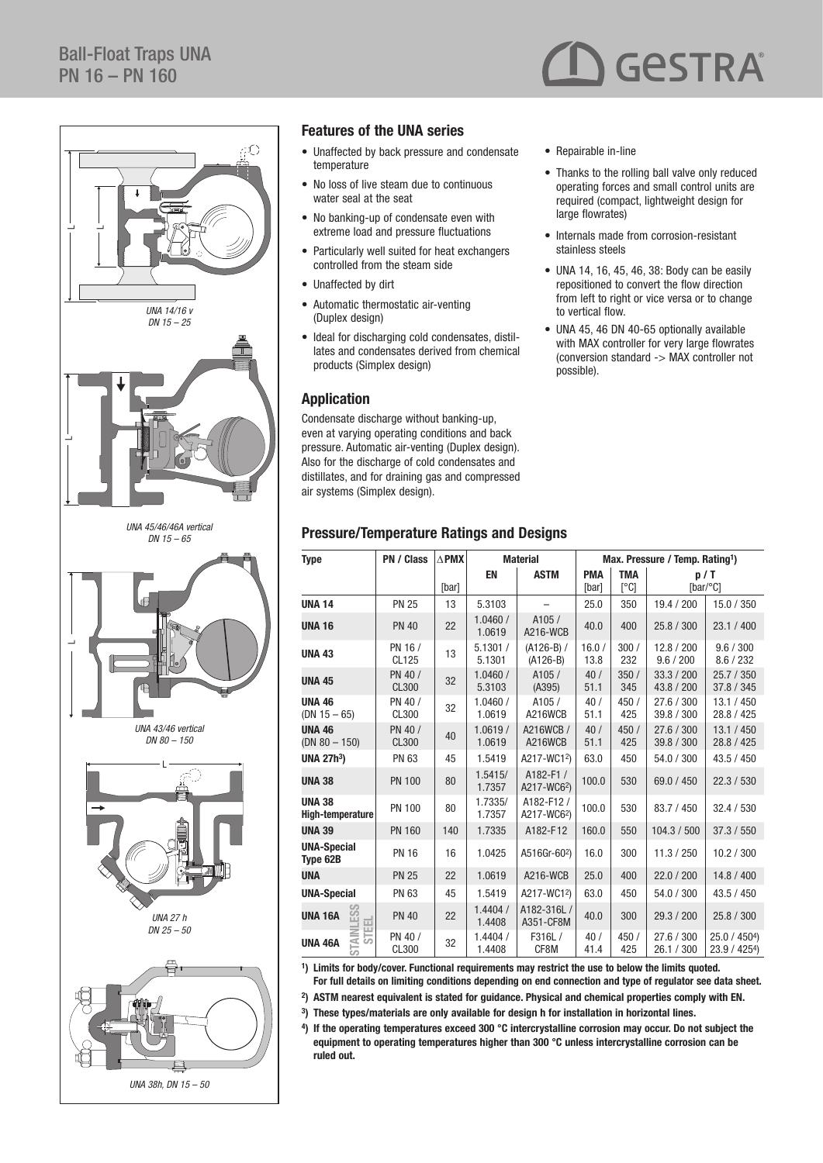

#### Features of the UNA series

- Unaffected by back pressure and condensate temperature
- No loss of live steam due to continuous water seal at the seat
- No banking-up of condensate even with extreme load and pressure fluctuations
- Particularly well suited for heat exchangers controlled from the steam side
- Unaffected by dirt
- Automatic thermostatic air-venting (Duplex design)
- Ideal for discharging cold condensates, distillates and condensates derived from chemical products (Simplex design)

#### Application

Condensate discharge without banking-up, even at varying operating conditions and back pressure. Automatic air-venting (Duplex design). Also for the discharge of cold condensates and distillates, and for draining gas and compressed air systems (Simplex design).

#### Pressure/Temperature Ratings and Designs

| ٠ |  |  | Repairable in-line |
|---|--|--|--------------------|
|---|--|--|--------------------|

- Thanks to the rolling ball valve only reduced operating forces and small control units are required (compact, lightweight design for large flowrates)
- Internals made from corrosion-resistant stainless steels
- UNA 14, 16, 45, 46, 38: Body can be easily repositioned to convert the flow direction from left to right or vice versa or to change to vertical flow.
- UNA 45, 46 DN 40-65 optionally available with MAX controller for very large flowrates (conversion standard -> MAX controller not possible).

| Type                              | PN / Class              | $\triangle$ PMX | <b>Material</b>          |                            | Max. Pressure / Temp. Rating <sup>1</sup> ) |                    |                          |                                 |
|-----------------------------------|-------------------------|-----------------|--------------------------|----------------------------|---------------------------------------------|--------------------|--------------------------|---------------------------------|
|                                   |                         | [bar]           | <b>EN</b><br><b>ASTM</b> |                            | <b>PMA</b><br>[bar]                         | <b>TMA</b><br>[°C] |                          | p/T<br>[ $bar/$ °C]             |
| <b>UNA 14</b>                     | <b>PN 25</b>            | 13              | 5.3103                   |                            | 25.0                                        | 350                | 19.4 / 200               | 15.0 / 350                      |
| <b>UNA 16</b>                     | <b>PN 40</b>            | 22              | 1.0460/<br>1.0619        | A105/<br>A216-WCB          | 40.0                                        | 400                | 25.8 / 300               | 23.1 / 400                      |
| <b>UNA 43</b>                     | PN 16 /<br>CL125        | 13              | 5.1301/<br>5.1301        | $(A126-B)$ /<br>$(A126-B)$ | 16.0/<br>13.8                               | 300/<br>232        | 12.8 / 200<br>9.6 / 200  | 9.6 / 300<br>8.6 / 232          |
| <b>UNA 45</b>                     | PN 40 /<br><b>CL300</b> | 32              | 1.0460/<br>5.3103        | A105/<br>(A395)            | 40/<br>51.1                                 | 350/<br>345        | 33.3 / 200<br>43.8 / 200 | 25.7 / 350<br>37.8 / 345        |
| <b>UNA 46</b><br>$(DN 15 - 65)$   | PN 40 /<br>CL300        | 32              | 1.0460/<br>1.0619        | A105/<br>A216WCB           | 40/<br>51.1                                 | 450 /<br>425       | 27.6 / 300<br>39.8 / 300 | 13.1 / 450<br>28.8 / 425        |
| <b>UNA 46</b><br>$(DN 80 - 150)$  | PN 40 /<br><b>CL300</b> | 40              | 1.0619/<br>1.0619        | A216WCB /<br>A216WCB       | 40/<br>51.1                                 | 450/<br>425        | 27.6 / 300<br>39.8 / 300 | 13.1 / 450<br>28.8 / 425        |
| <b>UNA 27h3)</b>                  | <b>PN 63</b>            | 45              | 1.5419                   | A217-WC12)                 | 63.0                                        | 450                | 54.0 / 300               | 43.5 / 450                      |
| <b>UNA 38</b>                     | <b>PN 100</b>           | 80              | 1.5415/<br>1.7357        | A182-F1/<br>A217-WC62)     | 100.0                                       | 530                | 69.0 / 450               | 22.3 / 530                      |
| <b>UNA 38</b><br>High-temperature | <b>PN 100</b>           | 80              | 1.7335/<br>1.7357        | A182-F12/<br>A217-WC62)    | 100.0                                       | 530                | 83.7 / 450               | 32.4 / 530                      |
| <b>UNA 39</b>                     | <b>PN 160</b>           | 140             | 1.7335                   | A182-F12                   | 160.0                                       | 550                | 104.3 / 500              | 37.3 / 550                      |
| <b>UNA-Special</b><br>Type 62B    | <b>PN 16</b>            | 16              | 1.0425                   | A516Gr-602)                | 16.0                                        | 300                | 11.3 / 250               | 10.2 / 300                      |
| UNA                               | <b>PN 25</b>            | 22              | 1.0619                   | A216-WCB                   | 25.0                                        | 400                | 22.0 / 200               | 14.8 / 400                      |
| <b>UNA-Special</b>                | <b>PN 63</b>            | 45              | 1.5419                   | A217-WC12)                 | 63.0                                        | 450                | 54.0 / 300               | 43.5 / 450                      |
| ESS<br><b>UNA 16A</b>             | <b>PN 40</b>            | 22              | 1.4404/<br>1.4408        | A182-316L/<br>A351-CF8M    | 40.0                                        | 300                | 29.3 / 200               | 25.8 / 300                      |
| <b>STEEL</b><br>UNA 46A           | PN 40 /<br>CL300        | 32              | 1.4404/<br>1.4408        | F316L/<br>CF8M             | 40/<br>41.4                                 | 450/<br>425        | 27.6 / 300<br>26.1 / 300 | $25.0 / 4504$ )<br>23.9 / 4254) |

1) Limits for body/cover. Functional requirements may restrict the use to below the limits quoted. For full details on limiting conditions depending on end connection and type of regulator see data sheet.

2) ASTM nearest equivalent is stated for guidance. Physical and chemical properties comply with EN.

3) These types/materials are only available for design h for installation in horizontal lines.

4) If the operating temperatures exceed 300 °C intercrystalline corrosion may occur. Do not subject the equipment to operating temperatures higher than 300 °C unless intercrystalline corrosion can be ruled out.



**GESTRA**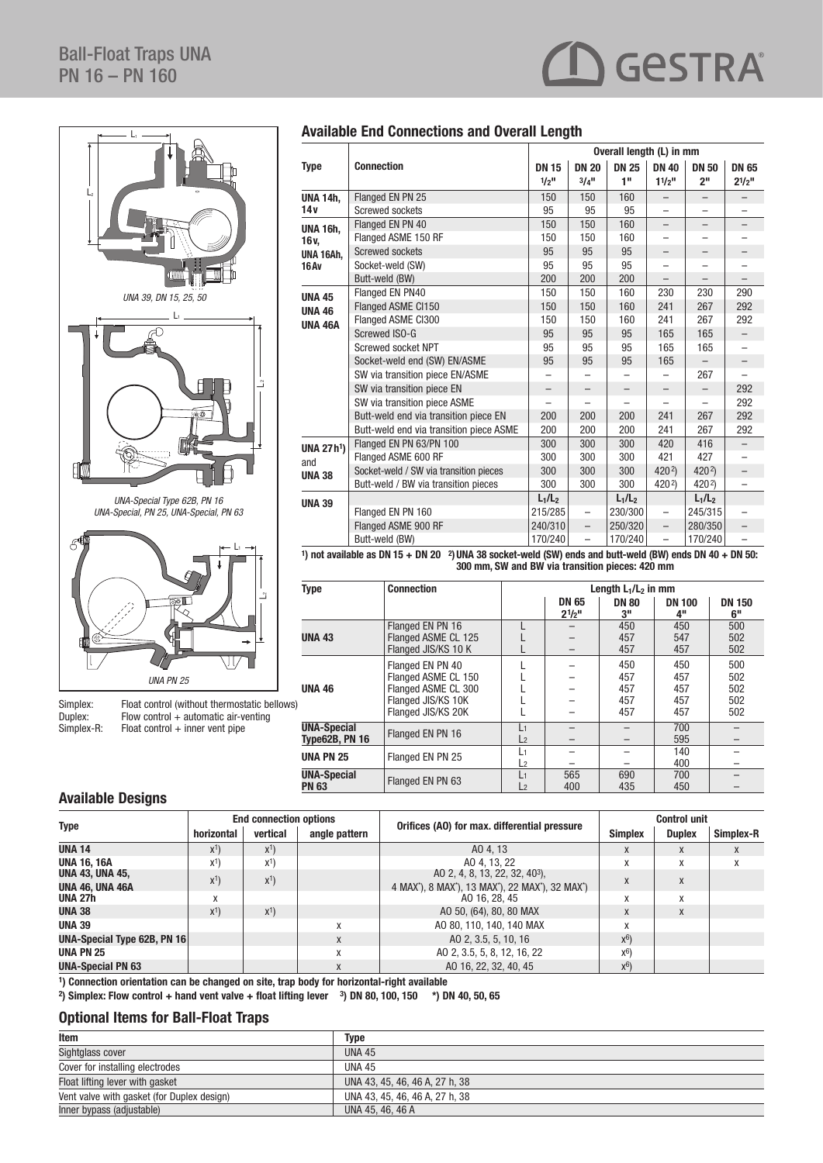

Simplex: Float control (without thermostatic bellows)<br>Duplex: Flow control + automatic air-venting Duplex: Flow control + automatic air-venting  $Simplex-R:$  Float control  $+$  inner vent pipe

## Available End Connections and Overall Length

|                   |                                                                                                            | Overall length (L) in mm |                          |              |                          |                          |              |  |
|-------------------|------------------------------------------------------------------------------------------------------------|--------------------------|--------------------------|--------------|--------------------------|--------------------------|--------------|--|
| <b>Type</b>       | <b>Connection</b>                                                                                          | <b>DN 15</b>             | <b>DN 20</b>             | <b>DN 25</b> | <b>DN 40</b>             | <b>DN 50</b>             | <b>DN 65</b> |  |
|                   |                                                                                                            | $1/2$ <sup>11</sup>      | $3/4$ <sup>11</sup>      | 1"           | $11/2$ <sup>11</sup>     | 2 <sup>II</sup>          | $2^{1/2}$    |  |
| <b>UNA 14h.</b>   | Flanged EN PN 25                                                                                           | 150                      | 150                      | 160          | -                        | $\overline{\phantom{m}}$ |              |  |
| 14v               | Screwed sockets                                                                                            | 95                       | 95                       | 95           | $\overline{\phantom{0}}$ | $\overline{\phantom{0}}$ |              |  |
| <b>UNA 16h,</b>   | Flanged EN PN 40                                                                                           | 150                      | 150                      | 160          | -                        | -                        |              |  |
| 16 v.             | Flanged ASME 150 RF                                                                                        | 150                      | 150                      | 160          | -                        |                          |              |  |
| UNA 16Ah,         | <b>Screwed sockets</b>                                                                                     | 95                       | 95                       | 95           | -                        | —                        | -            |  |
| 16Av              | Socket-weld (SW)                                                                                           | 95                       | 95                       | 95           | ▃                        | $\overline{\phantom{0}}$ |              |  |
|                   | Butt-weld (BW)                                                                                             | 200                      | 200                      | 200          |                          |                          |              |  |
| <b>UNA 45</b>     | Flanged EN PN40                                                                                            | 150                      | 150                      | 160          | 230                      | 230                      | 290          |  |
| <b>UNA 46</b>     | Flanged ASME CI150                                                                                         | 150                      | 150                      | 160          | 241                      | 267                      | 292          |  |
| <b>UNA 46A</b>    | Flanged ASME CI300                                                                                         | 150                      | 150                      | 160          | 241                      | 267                      | 292          |  |
|                   | Screwed ISO-G                                                                                              | 95                       | 95                       | 95           | 165                      | 165                      |              |  |
|                   | Screwed socket NPT                                                                                         | 95                       | 95                       | 95           | 165                      | 165                      |              |  |
|                   | Socket-weld end (SW) EN/ASME                                                                               | 95                       | 95                       | 95           | 165                      |                          |              |  |
|                   | SW via transition piece EN/ASME                                                                            |                          |                          |              |                          | 267                      |              |  |
|                   | SW via transition piece EN                                                                                 |                          |                          |              |                          |                          | 292          |  |
|                   | SW via transition piece ASME                                                                               |                          |                          |              |                          |                          | 292          |  |
|                   | Butt-weld end via transition piece EN                                                                      | 200                      | 200                      | 200          | 241                      | 267                      | 292          |  |
|                   | Butt-weld end via transition piece ASME                                                                    | 200                      | 200                      | 200          | 241                      | 267                      | 292          |  |
| <b>UNA 27 h1)</b> | Flanged EN PN 63/PN 100                                                                                    | 300                      | 300                      | 300          | 420                      | 416                      |              |  |
| and               | Flanged ASME 600 RF                                                                                        | 300                      | 300                      | 300          | 421                      | 427                      |              |  |
| <b>UNA 38</b>     | Socket-weld / SW via transition pieces                                                                     | 300                      | 300                      | 300          | 4202)                    | 4202)                    |              |  |
|                   | Butt-weld / BW via transition pieces                                                                       | 300                      | 300                      | 300          | 4202)                    | 4202)                    |              |  |
| <b>UNA 39</b>     |                                                                                                            | $L_1/L_2$                |                          | $L_1/L_2$    |                          | $L_1/L_2$                |              |  |
|                   | Flanged EN PN 160                                                                                          | 215/285                  | $\overline{\phantom{0}}$ | 230/300      | $\overline{\phantom{0}}$ | 245/315                  |              |  |
|                   | Flanged ASME 900 RF                                                                                        | 240/310                  | $\overline{\phantom{0}}$ | 250/320      | $\overline{a}$           | 280/350                  |              |  |
|                   | Butt-weld (BW)                                                                                             | 170/240                  | -                        | 170/240      | $\overline{\phantom{0}}$ | 170/240                  |              |  |
|                   | 1) not qualified as DNAP : DNAO 201814-00 assist under (CIA) and such built under (DIA) and a DNAO : DN FO |                          |                          |              |                          |                          |              |  |

GeSTRA®

1) not available as DN 15  $+$  DN 20  $-$  2) UNA 38 socket-weld (SW) ends and butt-weld (BW) ends DN 40  $+$  DN 50: 300 mm, SW and BW via transition pieces: 420 mm

| <b>Type</b>                                 | <b>Connection</b>                                                                                          |                      | Length $L_1/L_2$ in mm    |                                 |                                 |                                 |  |  |
|---------------------------------------------|------------------------------------------------------------------------------------------------------------|----------------------|---------------------------|---------------------------------|---------------------------------|---------------------------------|--|--|
|                                             |                                                                                                            |                      | <b>DN 65</b><br>$2^{1/2}$ | <b>DN 80</b><br>3"              | <b>DN 100</b><br>4"             | <b>DN 150</b><br>6"             |  |  |
| <b>UNA 43</b>                               | Flanged EN PN 16<br>Flanged ASME CL 125<br>Flanged JIS/KS 10 K                                             |                      |                           | 450<br>457<br>457               | 450<br>547<br>457               | 500<br>502<br>502               |  |  |
| <b>UNA 46</b>                               | Flanged EN PN 40<br>Flanged ASME CL 150<br>Flanged ASME CL 300<br>Flanged JIS/KS 10K<br>Flanged JIS/KS 20K |                      |                           | 450<br>457<br>457<br>457<br>457 | 450<br>457<br>457<br>457<br>457 | 500<br>502<br>502<br>502<br>502 |  |  |
| <b>UNA-Special</b><br><b>Type62B, PN 16</b> | Flanged EN PN 16                                                                                           | L1<br>L <sub>2</sub> |                           |                                 | 700<br>595                      |                                 |  |  |
| <b>UNA PN 25</b>                            | Flanged EN PN 25                                                                                           | L1<br>L <sub>2</sub> |                           |                                 | 140<br>400                      |                                 |  |  |
| <b>UNA-Special</b><br><b>PN 63</b>          | Flanged EN PN 63                                                                                           | L1<br>$\mathsf{L}$   | 565<br>400                | 690<br>435                      | 700<br>450                      |                                 |  |  |

## Available Designs

|                                           | <b>End connection options</b> |          |               |                                                                                                                                                               | <b>Control unit</b> |               |           |
|-------------------------------------------|-------------------------------|----------|---------------|---------------------------------------------------------------------------------------------------------------------------------------------------------------|---------------------|---------------|-----------|
| <b>Type</b>                               | horizontal                    | vertical | angle pattern | Orifices (AO) for max. differential pressure                                                                                                                  | <b>Simplex</b>      | <b>Duplex</b> | Simplex-R |
| <b>UNA 14</b>                             | $X^1$                         | $X^1$    |               | AO 4, 13                                                                                                                                                      | X                   |               |           |
| <b>UNA 16, 16A</b>                        | $X^1$                         | $X^1$    |               | AO 4, 13, 22                                                                                                                                                  | x                   | X             | x         |
| UNA 43, UNA 45,<br><b>UNA 46, UNA 46A</b> | $X^1$                         | $X^1$    |               | AO 2, 4, 8, 13, 22, 32, 40 <sup>3</sup> ),<br>4 MAX <sup>*</sup> ), 8 MAX <sup>*</sup> ), 13 MAX <sup>*</sup> ), 22 MAX <sup>*</sup> ), 32 MAX <sup>*</sup> ) | X                   |               |           |
| <b>UNA 27h</b>                            | X                             |          |               | AO 16, 28, 45                                                                                                                                                 | x                   | X             |           |
| <b>UNA 38</b>                             | $X^1$                         | $X^1$    |               | AO 50, (64), 80, 80 MAX                                                                                                                                       | X                   | X             |           |
| <b>UNA 39</b>                             |                               |          |               | AO 80, 110, 140, 140 MAX                                                                                                                                      | X                   |               |           |
| UNA-Special Type 62B, PN 16               |                               |          | X             | AO 2, 3.5, 5, 10, 16                                                                                                                                          | $X^6$               |               |           |
| <b>UNA PN 25</b>                          |                               |          | X             | A0 2, 3.5, 5, 8, 12, 16, 22                                                                                                                                   | $X^6$               |               |           |
| <b>UNA-Special PN 63</b>                  |                               |          | X             | A0 16, 22, 32, 40, 45                                                                                                                                         | $X^6$               |               |           |

<sup>1</sup>) Connection orientation can be changed on site, trap body for horizontal-right available

<sup>2</sup>) Simplex: Flow control + hand vent valve + float lifting lever  $3)$  DN 80, 100, 150  $*$ ) DN 40, 50, 65

#### Optional Items for Ball-Float Traps

| Item                                       | Type                           |
|--------------------------------------------|--------------------------------|
| Sightglass cover                           | <b>UNA 45</b>                  |
| Cover for installing electrodes            | <b>UNA 45</b>                  |
| Float lifting lever with gasket            | UNA 43, 45, 46, 46 A, 27 h, 38 |
| Vent valve with gasket (for Duplex design) | UNA 43, 45, 46, 46 A, 27 h, 38 |
| Inner bypass (adjustable)                  | UNA 45, 46, 46 A               |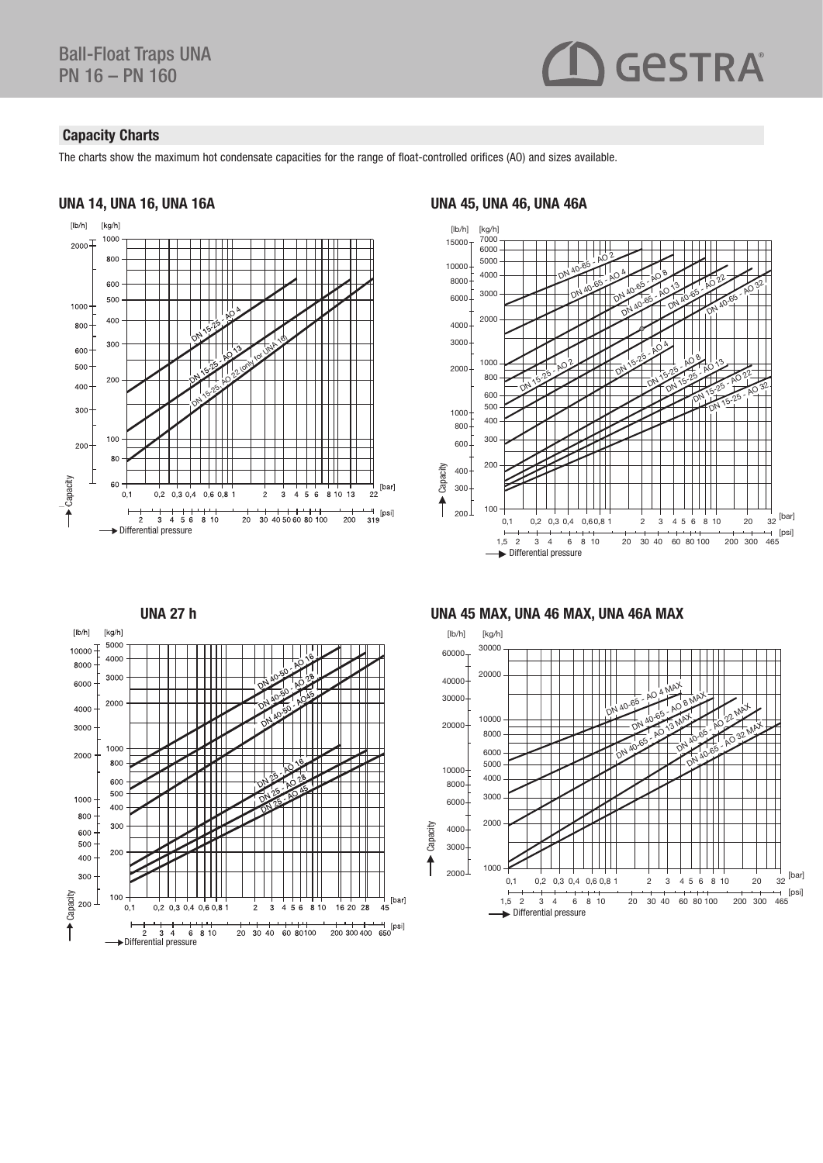## **GESTRA**

## Capacity Charts

The charts show the maximum hot condensate capacities for the range of float-controlled orifices (AO) and sizes available.

[bar]

 $45$ 

## UNA 14, UNA 16, UNA 16A UNA 45, UNA 46, UNA 46A





UNA 45 MAX, UNA 46 MAX, UNA 46A MAX



#### UNA 27 h

 $\overrightarrow{2}$   $\overrightarrow{3}$   $\overrightarrow{4}$   $\overrightarrow{6}$   $\overrightarrow{8}$  10

 $\frac{1}{3}$  4  $\frac{1}{2}$ 

 $0,2$  0,3 0,4 0,6 0,8 1

 $\frac{1}{3}$ 

20 30 40 60 80100

 $\frac{1}{4}$  $\frac{1}{5}$  6

 $\frac{1}{2}$ 

 $810$ 

16 20 28

+ + + + + + + [psi]<br>200 300 400 650

 $\begin{bmatrix} \frac{1}{2} & \frac{1}{2} \\ \frac{1}{2} & \frac{1}{2} \\ \frac{1}{2} & \frac{1}{2} \end{bmatrix}$ 

 $[lb/h]$ 

10000

8000

6000

4000 3000

2000

1000

800

600 500

400

300

 $[kg/h]$ 5000

4000

3000

2000

1000

800 600 500

400

300

200

 $100$ 

 $0,1$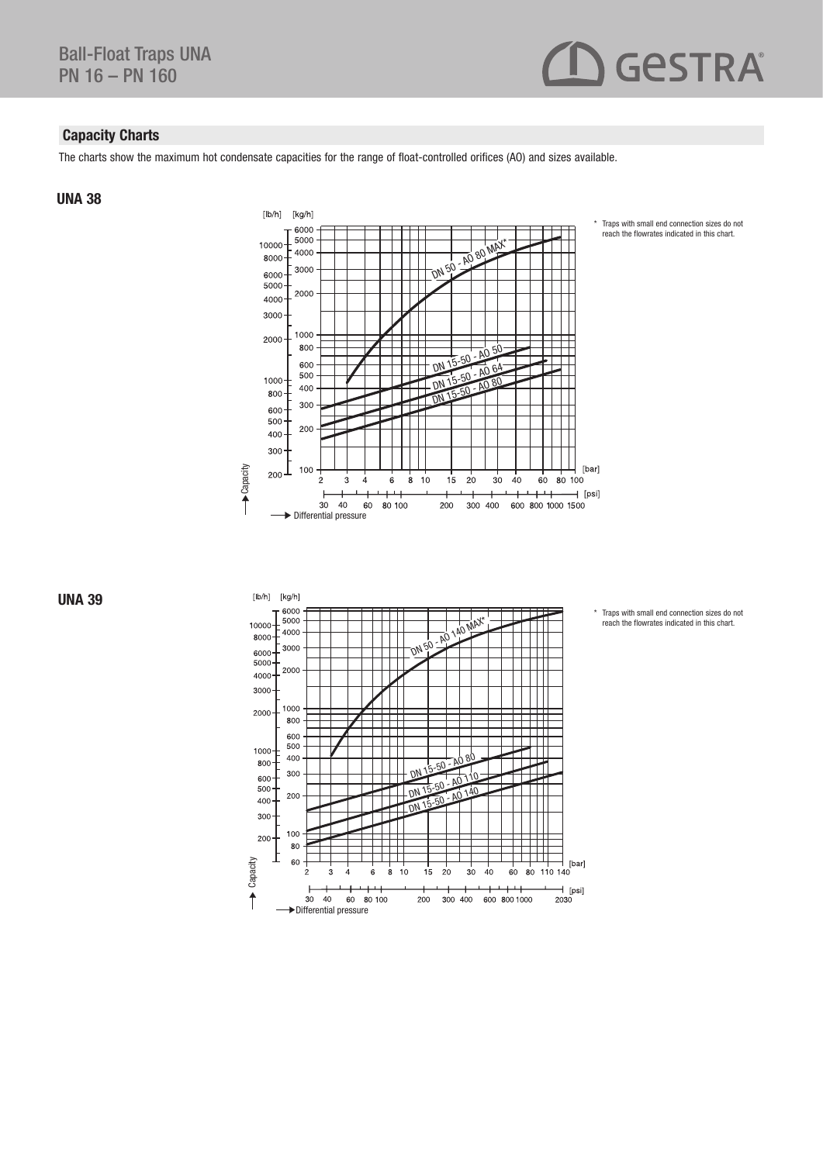

## Capacity Charts

The charts show the maximum hot condensate capacities for the range of float-controlled orifices (AO) and sizes available.

### UNA 38



\* Traps with small end connection sizes do not reach the flowrates indicated in this chart.

Traps with small end connection sizes do not reach the flowrates indicated in this chart.



Capacity Durchfluss Durchfluss Durchfluss Durchfluss Durchfluss Durchfluss Durchfluss Durchfluss Durchfluss Du<br>Durchfluss Durchfluss Durchfluss Durchfluss Durchfluss Durchfluss Durchfluss Durchfluss Durchfluss Durchfluss<br>  $[lb/h]$   $[kg/h]$ 6000 5000 DN 50 - AO 140 MAX\* 10000 4000 8000 3000 6000 П 5000 2000 4000 3000 1000 2000 800 600 500  $1000 -$ 400  $-15-50 - A080$ 800 ΓΙ 300  $600 -$ ่  $\frac{DN}{DN}$  15-50 - AO 110 DN 15-50 - AO 14 500 200 400 300 100 200 80  $\begin{bmatrix} 1 & 1 & 1 \\ 80 & 110 & 140 \end{bmatrix}$  [bar] Capacity  $\Gamma$ ┯ 60  $\frac{1}{8}$  $10$  $15$  $20$  $30$  $\frac{1}{40}$  $60$  $\frac{1}{2030}$  [psi]  $\uparrow$  $30$  $40$  $60$   $80$  100  $200$ 300 400 600 800 1000 Differential pressure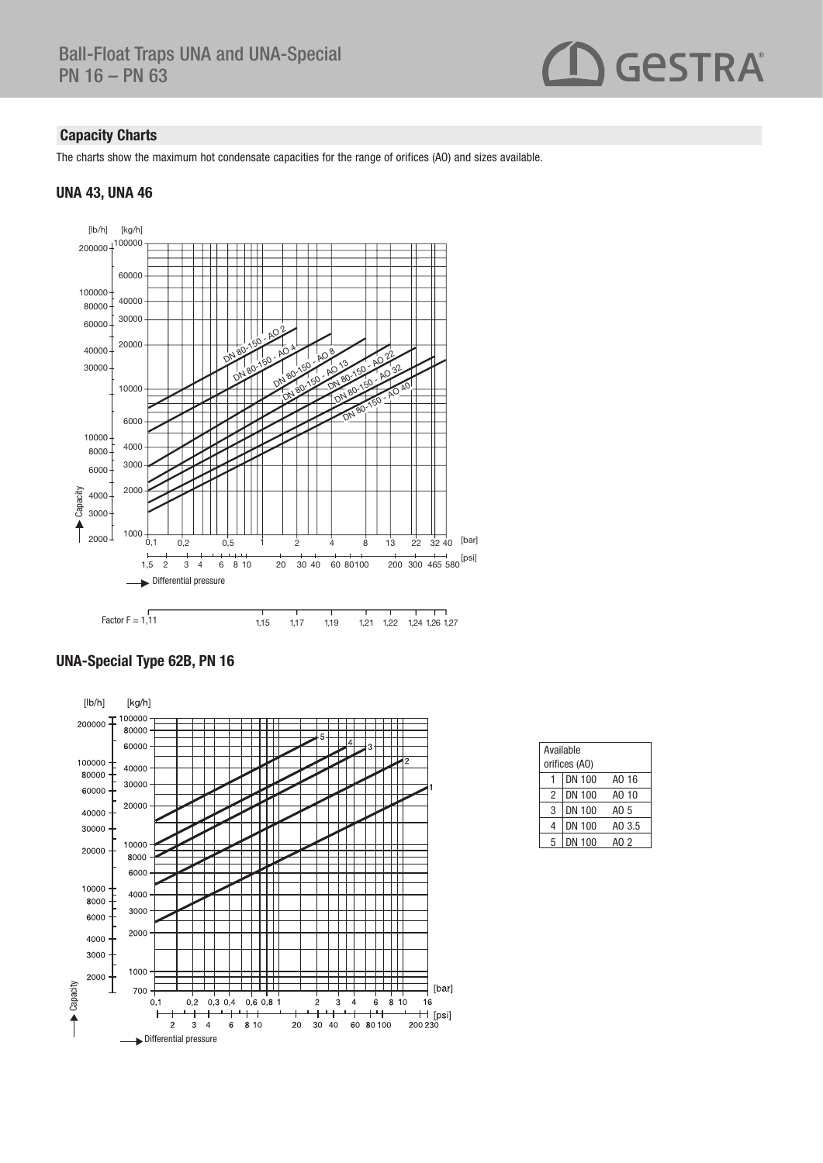# GeSTRA®

## Capacity Charts

The charts show the maximum hot condensate capacities for the range of orifices (AO) and sizes available.

### UNA 43, UNA 46



## UNA-Special Type 62B, PN 16



| Available<br>orifices (AO) |               |        |  |  |
|----------------------------|---------------|--------|--|--|
|                            | <b>DN 100</b> | AO 16  |  |  |
| $\overline{c}$             | <b>DN 100</b> | AO 10  |  |  |
| 3                          | <b>DN 100</b> | AO 5   |  |  |
| 4                          | <b>DN 100</b> | AO 3.5 |  |  |
| 5                          | DN 100        | AO 2   |  |  |